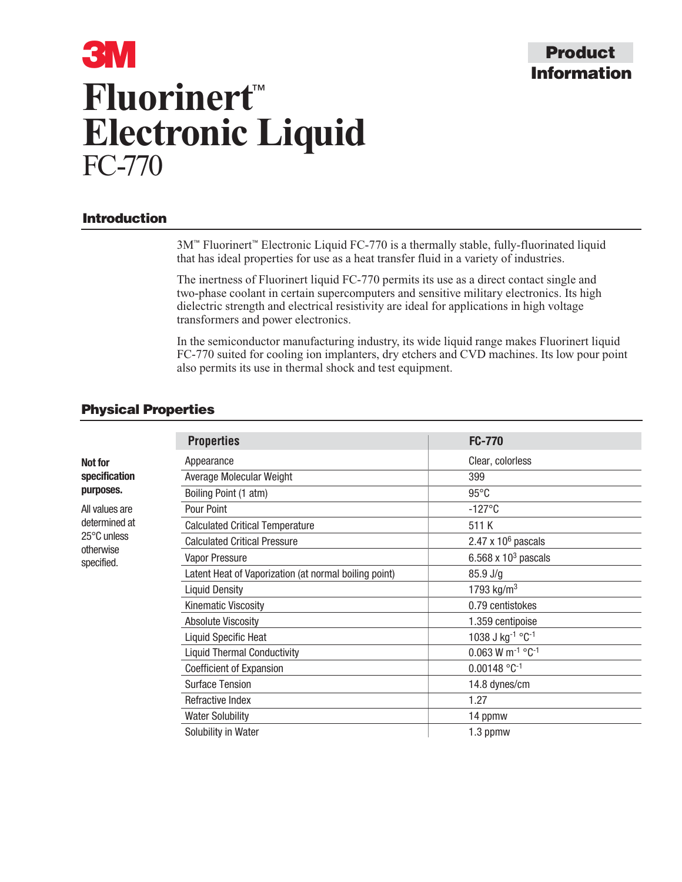# **Information Product**

# **3M Fluorinert**™ **Electronic Liquid** FC-770

# **Introduction**

3M™ Fluorinert™ Electronic Liquid FC-770 is a thermally stable, fully-fluorinated liquid that has ideal properties for use as a heat transfer fluid in a variety of industries.

The inertness of Fluorinert liquid FC-770 permits its use as a direct contact single and two-phase coolant in certain supercomputers and sensitive military electronics. Its high dielectric strength and electrical resistivity are ideal for applications in high voltage transformers and power electronics.

In the semiconductor manufacturing industry, its wide liquid range makes Fluorinert liquid FC-770 suited for cooling ion implanters, dry etchers and CVD machines. Its low pour point also permits its use in thermal shock and test equipment.

## **Physical Properties**

|                                                                           | <b>Properties</b>                                     | <b>FC-770</b>                              |  |
|---------------------------------------------------------------------------|-------------------------------------------------------|--------------------------------------------|--|
| <b>Not for</b><br>specification<br>purposes.                              | Appearance                                            | Clear, colorless                           |  |
|                                                                           | Average Molecular Weight                              | 399                                        |  |
|                                                                           | Boiling Point (1 atm)                                 | $95^{\circ}$ C                             |  |
| All values are<br>determined at<br>25°C unless<br>otherwise<br>specified. | Pour Point                                            | $-127^{\circ}$ C                           |  |
|                                                                           | <b>Calculated Critical Temperature</b>                | 511 K                                      |  |
|                                                                           | <b>Calculated Critical Pressure</b>                   | 2.47 x $106$ pascals                       |  |
|                                                                           | Vapor Pressure                                        | 6.568 x $103$ pascals                      |  |
|                                                                           | Latent Heat of Vaporization (at normal boiling point) | 85.9 J/g                                   |  |
|                                                                           | <b>Liquid Density</b>                                 | 1793 kg/m <sup>3</sup>                     |  |
|                                                                           | Kinematic Viscosity                                   | 0.79 centistokes                           |  |
|                                                                           | <b>Absolute Viscosity</b>                             | 1.359 centipoise                           |  |
|                                                                           | <b>Liquid Specific Heat</b>                           | 1038 J kg-1 °C-1                           |  |
|                                                                           | <b>Liquid Thermal Conductivity</b>                    | $0.063$ W m <sup>-1</sup> °C <sup>-1</sup> |  |
|                                                                           | Coefficient of Expansion                              | $0.00148 °C^{-1}$                          |  |
|                                                                           | <b>Surface Tension</b>                                | 14.8 dynes/cm                              |  |
|                                                                           | Refractive Index                                      | 1.27                                       |  |
|                                                                           | <b>Water Solubility</b>                               | 14 ppmw                                    |  |
|                                                                           | Solubility in Water                                   | 1.3 ppmw                                   |  |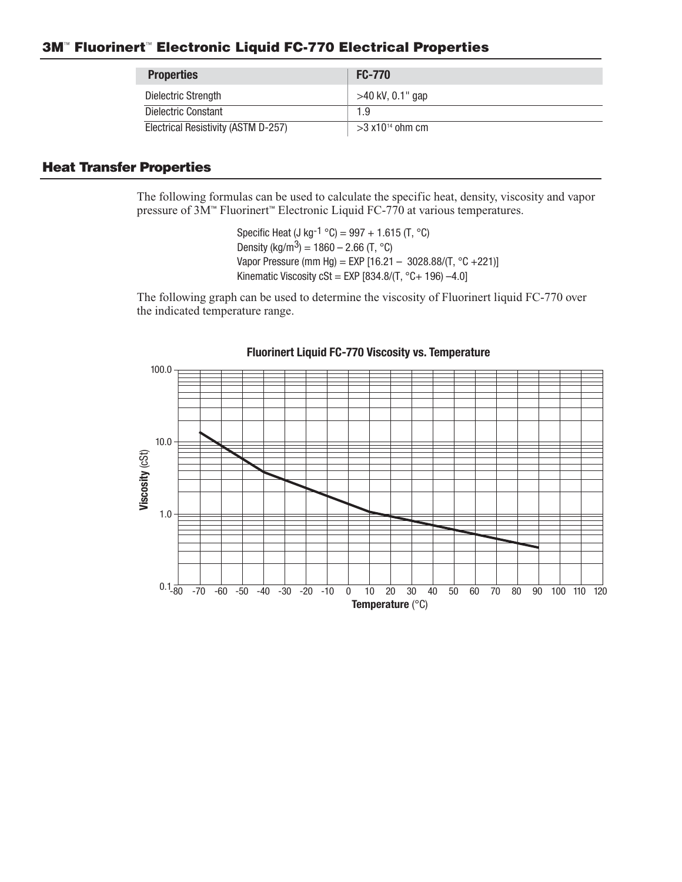#### **3M**™ **Fluorinert**™ **Electronic Liquid FC-770 Electrical Properties**

| <b>Properties</b>                   | <b>FC-770</b>       |
|-------------------------------------|---------------------|
| Dielectric Strength                 | $>40$ kV, 0.1" gap  |
| Dielectric Constant                 | 1.9                 |
| Electrical Resistivity (ASTM D-257) | $>3x10^{14}$ ohm cm |

# **Heat Transfer Properties**

The following formulas can be used to calculate the specific heat, density, viscosity and vapor pressure of 3M™ Fluorinert™ Electronic Liquid FC-770 at various temperatures.

> Specific Heat (J kg-1  $^{\circ}$ C) = 997 + 1.615 (T,  $^{\circ}$ C) Density (kg/m<sup>3</sup>) = 1860 – 2.66 (T, °C) Vapor Pressure (mm Hg) = EXP [16.21 – 3028.88/(T, °C +221)] Kinematic Viscosity cSt = EXP  $[834.8/(T, °C+196) -4.0]$

The following graph can be used to determine the viscosity of Fluorinert liquid FC-770 over the indicated temperature range.

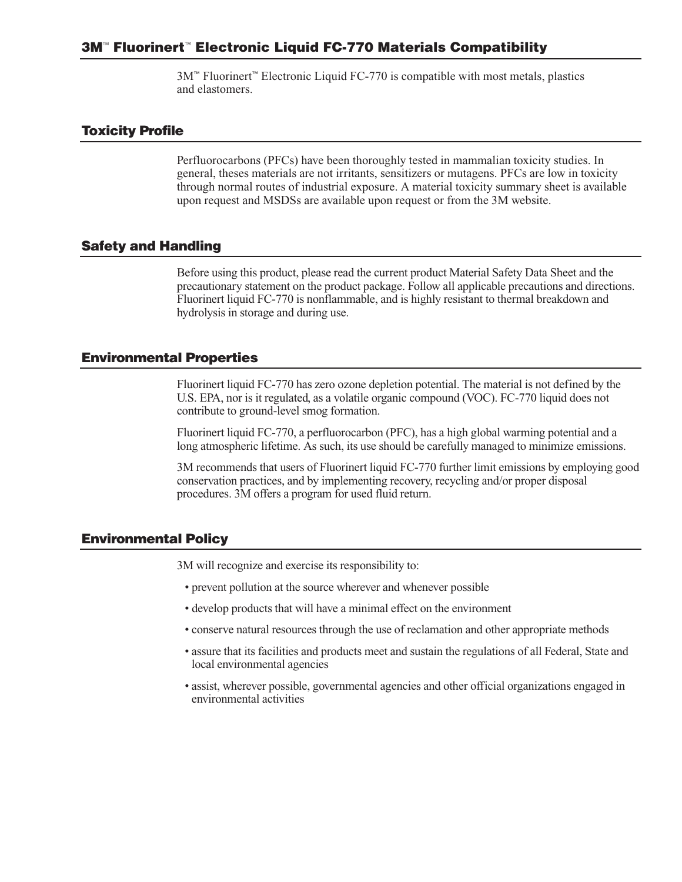3M™ Fluorinert™ Electronic Liquid FC-770 is compatible with most metals, plastics and elastomers.

#### **Toxicity Profile**

Perfluorocarbons (PFCs) have been thoroughly tested in mammalian toxicity studies. In general, theses materials are not irritants, sensitizers or mutagens. PFCs are low in toxicity through normal routes of industrial exposure. A material toxicity summary sheet is available upon request and MSDSs are available upon request or from the 3M website.

#### **Safety and Handling**

Before using this product, please read the current product Material Safety Data Sheet and the precautionary statement on the product package. Follow all applicable precautions and directions. Fluorinert liquid FC-770 is nonflammable, and is highly resistant to thermal breakdown and hydrolysis in storage and during use.

#### **Environmental Properties**

Fluorinert liquid FC-770 has zero ozone depletion potential. The material is not defined by the U.S. EPA, nor is it regulated, as a volatile organic compound (VOC). FC-770 liquid does not contribute to ground-level smog formation.

Fluorinert liquid FC-770, a perfluorocarbon (PFC), has a high global warming potential and a long atmospheric lifetime. As such, its use should be carefully managed to minimize emissions.

3M recommends that users of Fluorinert liquid FC-770 further limit emissions by employing good conservation practices, and by implementing recovery, recycling and/or proper disposal procedures. 3M offers a program for used fluid return.

#### **Environmental Policy**

3M will recognize and exercise its responsibility to:

- prevent pollution at the source wherever and whenever possible
- develop products that will have a minimal effect on the environment
- conserve natural resources through the use of reclamation and other appropriate methods
- assure that its facilities and products meet and sustain the regulations of all Federal, State and local environmental agencies
- assist, wherever possible, governmental agencies and other official organizations engaged in environmental activities